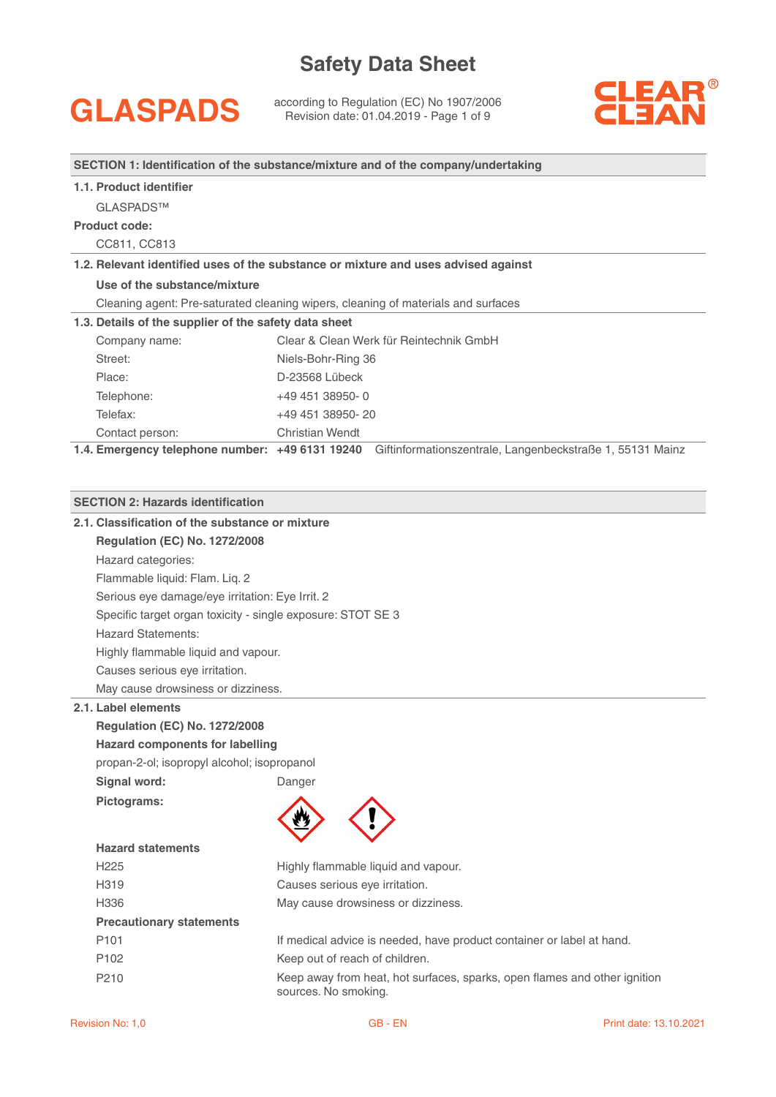GLASPADS according to Regulation (EC) No 1907/2006<br>
Revision date: 01.04.2019 - Page 1 of 9



**SECTION 1: Identification of the substance/mixture and of the company/undertaking**

### **1.1. Product identifier**

GLASPADS™

### **Product code:**

CC811, CC813

### **1.2. Relevant identified uses of the substance or mixture and uses advised against**

**Use of the substance/mixture**

Cleaning agent: Pre-saturated cleaning wipers, cleaning of materials and surfaces

### **1.3. Details of the supplier of the safety data sheet**

| Company name:   | Clear & Clean Werk für Reintechnik GmbH |
|-----------------|-----------------------------------------|
| Street:         | Niels-Bohr-Ring 36                      |
| Place:          | D-23568 Lübeck                          |
| Telephone:      | $+4945138950-0$                         |
| Telefax:        | +49 451 38950-20                        |
| Contact person: | Christian Wendt                         |

**1.4. Emergency telephone number: +49 6131 19240** Giftinformationszentrale, Langenbeckstraße 1, 55131 Mainz

### **SECTION 2: Hazards identification**

| 2.1. Classification of the substance or mixture             |                                                                                                   |
|-------------------------------------------------------------|---------------------------------------------------------------------------------------------------|
| <b>Regulation (EC) No. 1272/2008</b>                        |                                                                                                   |
| Hazard categories:                                          |                                                                                                   |
| Flammable liquid: Flam. Liq. 2                              |                                                                                                   |
| Serious eye damage/eye irritation: Eye Irrit. 2             |                                                                                                   |
| Specific target organ toxicity - single exposure: STOT SE 3 |                                                                                                   |
| <b>Hazard Statements:</b>                                   |                                                                                                   |
| Highly flammable liquid and vapour.                         |                                                                                                   |
| Causes serious eye irritation.                              |                                                                                                   |
| May cause drowsiness or dizziness.                          |                                                                                                   |
| 2.1. Label elements                                         |                                                                                                   |
| <b>Regulation (EC) No. 1272/2008</b>                        |                                                                                                   |
| <b>Hazard components for labelling</b>                      |                                                                                                   |
| propan-2-ol; isopropyl alcohol; isopropanol                 |                                                                                                   |
| Signal word:                                                | Danger                                                                                            |
| Pictograms:                                                 |                                                                                                   |
|                                                             |                                                                                                   |
|                                                             |                                                                                                   |
| <b>Hazard statements</b>                                    |                                                                                                   |
| H <sub>225</sub>                                            | Highly flammable liquid and vapour.                                                               |
| Causes serious eye irritation.<br>H <sub>319</sub>          |                                                                                                   |
| H336                                                        | May cause drowsiness or dizziness.                                                                |
| <b>Precautionary statements</b>                             |                                                                                                   |
| P <sub>101</sub>                                            | If medical advice is needed, have product container or label at hand.                             |
| P102                                                        | Keep out of reach of children.                                                                    |
| P210                                                        | Keep away from heat, hot surfaces, sparks, open flames and other ignition<br>sources. No smoking. |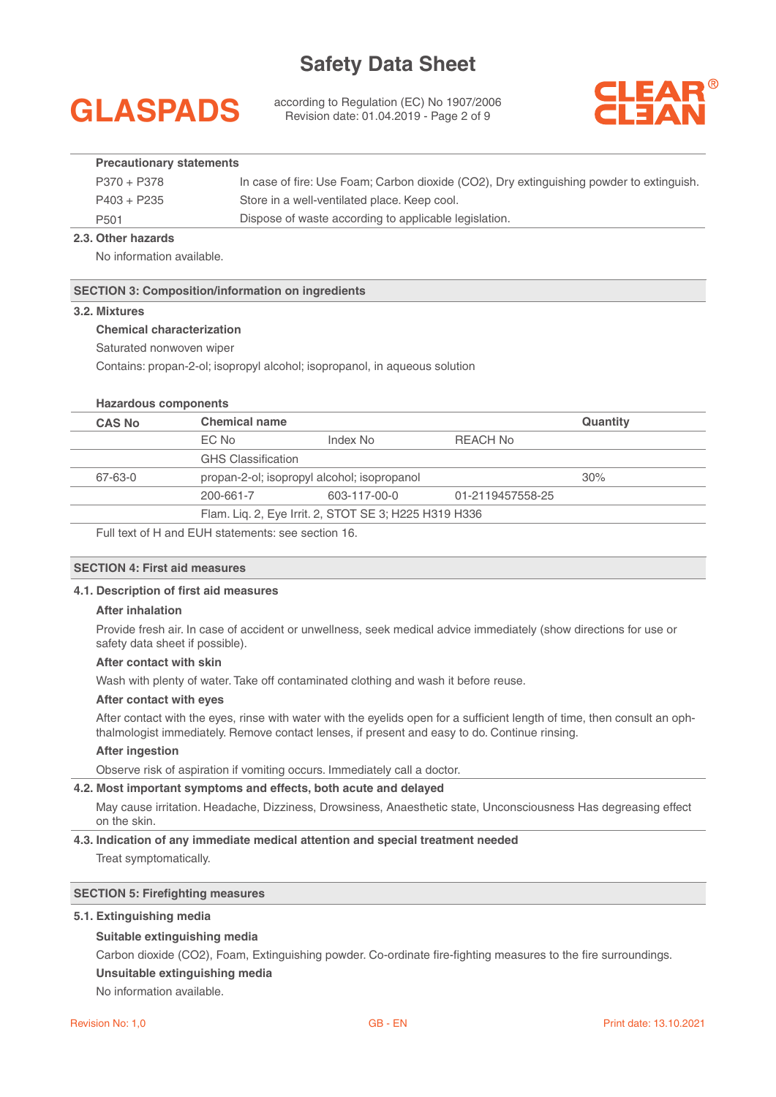## **GLASPADS**

according to Regulation (EC) No 1907/2006 Revision date: 01.04.2019 - Page 2 of 9



### **Precautionary statements**

| P370 + P378      | In case of fire: Use Foam; Carbon dioxide (CO2), Dry extinguishing powder to extinguish. |
|------------------|------------------------------------------------------------------------------------------|
| $P403 + P235$    | Store in a well-ventilated place. Keep cool.                                             |
| P <sub>501</sub> | Dispose of waste according to applicable legislation.                                    |

### **2.3. Other hazards**

No information available.

### **SECTION 3: Composition/information on ingredients**

### **3.2. Mixtures**

### **Chemical characterization**

Saturated nonwoven wiper

Contains: propan-2-ol; isopropyl alcohol; isopropanol, in aqueous solution

### **Hazardous components**

| <b>CAS No</b> | <b>Chemical name</b>      |                                                       |                  | <b>Quantity</b> |
|---------------|---------------------------|-------------------------------------------------------|------------------|-----------------|
|               | EC No                     | Index No                                              | REACH No         |                 |
|               | <b>GHS Classification</b> |                                                       |                  |                 |
| 67-63-0       |                           | propan-2-ol; isopropyl alcohol; isopropanol           |                  | 30%             |
|               | 200-661-7                 | 603-117-00-0                                          | 01-2119457558-25 |                 |
|               |                           | Flam. Liq. 2, Eye Irrit. 2, STOT SE 3; H225 H319 H336 |                  |                 |

Full text of H and EUH statements: see section 16.

### **SECTION 4: First aid measures**

### **4.1. Description of first aid measures**

### **After inhalation**

Provide fresh air. In case of accident or unwellness, seek medical advice immediately (show directions for use or safety data sheet if possible).

### **After contact with skin**

Wash with plenty of water. Take off contaminated clothing and wash it before reuse.

### **After contact with eyes**

After contact with the eyes, rinse with water with the eyelids open for a sufficient length of time, then consult an ophthalmologist immediately. Remove contact lenses, if present and easy to do. Continue rinsing.

### **After ingestion**

Observe risk of aspiration if vomiting occurs. Immediately call a doctor.

### **4.2. Most important symptoms and effects, both acute and delayed**

May cause irritation. Headache, Dizziness, Drowsiness, Anaesthetic state, Unconsciousness Has degreasing effect on the skin.

### **4.3. Indication of any immediate medical attention and special treatment needed**  Treat symptomatically.

### **SECTION 5: Firefighting measures**

### **5.1. Extinguishing media**

### **Suitable extinguishing media**

Carbon dioxide (CO2), Foam, Extinguishing powder. Co-ordinate fire-fighting measures to the fire surroundings.

**Unsuitable extinguishing media** 

No information available.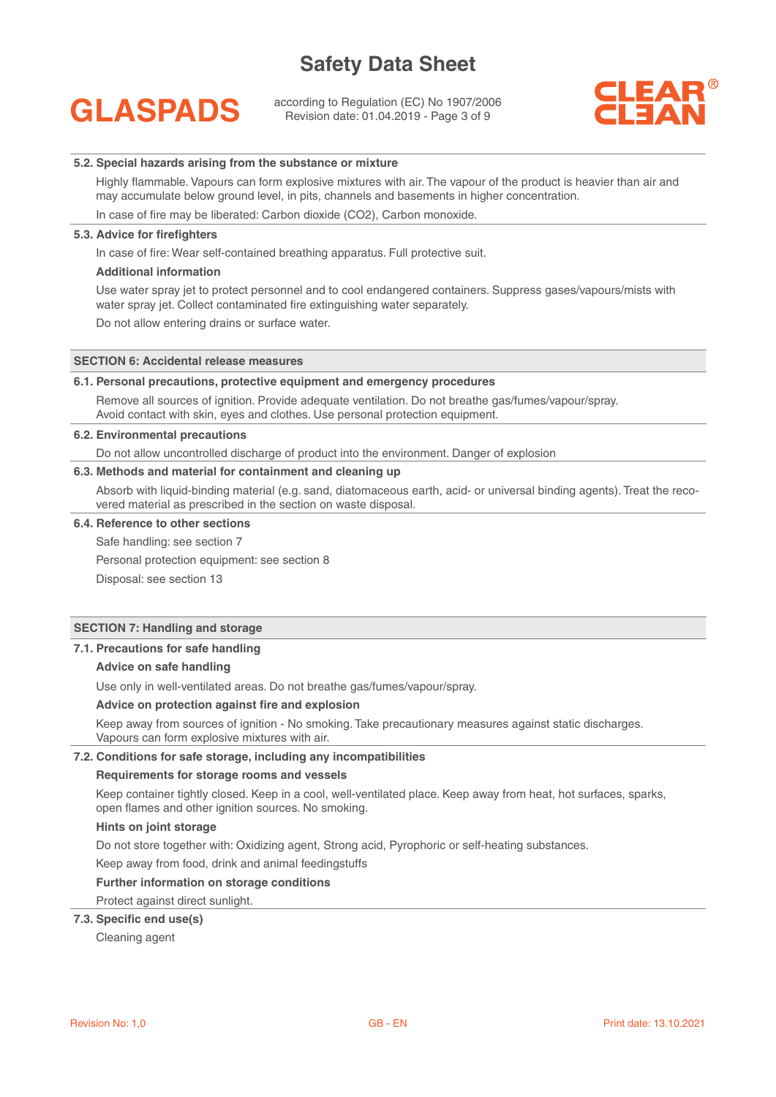## **GLASPADS**

according to Regulation (EC) No 1907/2006 Revision date: 01.04.2019 - Page 3 of 9



### **5.2. Special hazards arising from the substance or mixture**

Highly flammable. Vapours can form explosive mixtures with air. The vapour of the product is heavier than air and may accumulate below ground level, in pits, channels and basements in higher concentration.

In case of fire may be liberated: Carbon dioxide (CO2), Carbon monoxide.

### **5.3. Advice for firefighters**

In case of fire: Wear self-contained breathing apparatus. Full protective suit.

### **Additional information**

Use water spray jet to protect personnel and to cool endangered containers. Suppress gases/vapours/mists with water spray jet. Collect contaminated fire extinguishing water separately.

Do not allow entering drains or surface water.

### **SECTION 6: Accidental release measures**

### **6.1. Personal precautions, protective equipment and emergency procedures**

Remove all sources of ignition. Provide adequate ventilation. Do not breathe gas/fumes/vapour/spray. Avoid contact with skin, eyes and clothes. Use personal protection equipment.

### **6.2. Environmental precautions**

Do not allow uncontrolled discharge of product into the environment. Danger of explosion

### **6.3. Methods and material for containment and cleaning up**

Absorb with liquid-binding material (e.g. sand, diatomaceous earth, acid- or universal binding agents). Treat the recovered material as prescribed in the section on waste disposal.

### **6.4. Reference to other sections**

Safe handling: see section 7

Personal protection equipment: see section 8

Disposal: see section 13

### **SECTION 7: Handling and storage**

### **7.1. Precautions for safe handling**

### **Advice on safe handling**

Use only in well-ventilated areas. Do not breathe gas/fumes/vapour/spray.

### **Advice on protection against fire and explosion**

Keep away from sources of ignition - No smoking. Take precautionary measures against static discharges. Vapours can form explosive mixtures with air.

#### **7.2. Conditions for safe storage, including any incompatibilities**

### **Requirements for storage rooms and vessels**

Keep container tightly closed. Keep in a cool, well-ventilated place. Keep away from heat, hot surfaces, sparks, open flames and other ignition sources. No smoking.

### **Hints on joint storage**

Do not store together with: Oxidizing agent, Strong acid, Pyrophoric or self-heating substances.

Keep away from food, drink and animal feedingstuffs

### **Further information on storage conditions**

Protect against direct sunlight.

### **7.3. Specific end use(s)**

Cleaning agent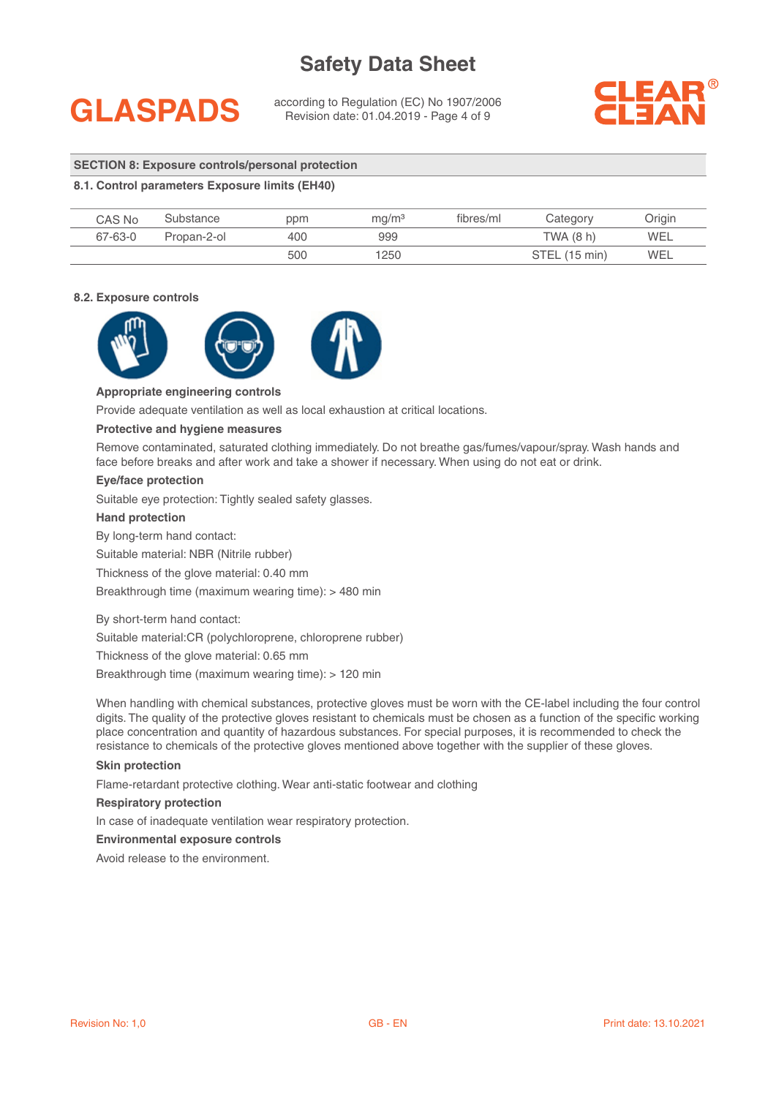## **GLASPADS**

according to Regulation (EC) No 1907/2006 Revision date: 01.04.2019 - Page 4 of 9



### **SECTION 8: Exposure controls/personal protection**

### **8.1. Control parameters Exposure limits (EH40)**

| CAS No  | Substance   | ppm | mq/m <sup>3</sup> | fibres/ml | Category      | Origin |
|---------|-------------|-----|-------------------|-----------|---------------|--------|
| 67-63-0 | Propan-2-ol | 400 | 999               |           | TWA (8 h)     | WEL    |
|         |             | 500 | 1250              |           | STEL (15 min) | WEL    |

### **8.2. Exposure controls**



### **Appropriate engineering controls**

Provide adequate ventilation as well as local exhaustion at critical locations.

### **Protective and hygiene measures**

Remove contaminated, saturated clothing immediately. Do not breathe gas/fumes/vapour/spray. Wash hands and face before breaks and after work and take a shower if necessary. When using do not eat or drink.

### **Eye/face protection**

Suitable eye protection: Tightly sealed safety glasses.

### **Hand protection**

By long-term hand contact:

Suitable material: NBR (Nitrile rubber)

Thickness of the glove material: 0.40 mm

Breakthrough time (maximum wearing time): > 480 min

By short-term hand contact:

Suitable material:CR (polychloroprene, chloroprene rubber)

Thickness of the glove material: 0.65 mm

Breakthrough time (maximum wearing time): > 120 min

When handling with chemical substances, protective gloves must be worn with the CE-label including the four control digits. The quality of the protective gloves resistant to chemicals must be chosen as a function of the specific working place concentration and quantity of hazardous substances. For special purposes, it is recommended to check the resistance to chemicals of the protective gloves mentioned above together with the supplier of these gloves.

### **Skin protection**

Flame-retardant protective clothing. Wear anti-static footwear and clothing

#### **Respiratory protection**

In case of inadequate ventilation wear respiratory protection.

### **Environmental exposure controls**

Avoid release to the environment.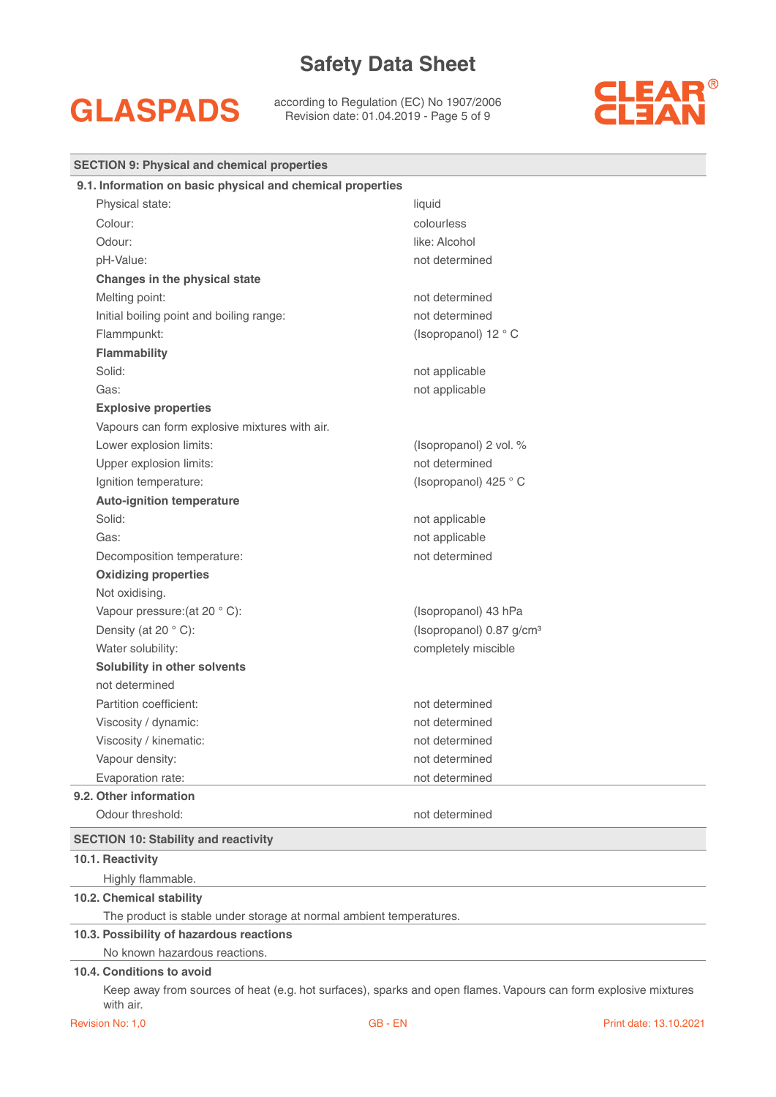## **GLASPADS**

according to Regulation (EC) No 1907/2006 Revision date: 01.04.2019 - Page 5 of 9



| <b>SECTION 9: Physical and chemical properties</b>                  |                                      |
|---------------------------------------------------------------------|--------------------------------------|
| 9.1. Information on basic physical and chemical properties          |                                      |
| Physical state:                                                     | liquid                               |
| Colour:                                                             | colourless                           |
| Odour:                                                              | like: Alcohol                        |
| pH-Value:                                                           | not determined                       |
| Changes in the physical state                                       |                                      |
| Melting point:                                                      | not determined                       |
| Initial boiling point and boiling range:                            | not determined                       |
| Flammpunkt:                                                         | (Isopropanol) 12 ° C                 |
| <b>Flammability</b>                                                 |                                      |
| Solid:                                                              | not applicable                       |
| Gas:                                                                | not applicable                       |
| <b>Explosive properties</b>                                         |                                      |
| Vapours can form explosive mixtures with air.                       |                                      |
| Lower explosion limits:                                             | (Isopropanol) 2 vol. %               |
| Upper explosion limits:                                             | not determined                       |
| Ignition temperature:                                               | (Isopropanol) 425 °C                 |
| <b>Auto-ignition temperature</b>                                    |                                      |
| Solid:                                                              | not applicable                       |
| Gas:                                                                | not applicable                       |
| Decomposition temperature:                                          | not determined                       |
| <b>Oxidizing properties</b>                                         |                                      |
| Not oxidising.                                                      |                                      |
| Vapour pressure: (at 20 °C):                                        | (Isopropanol) 43 hPa                 |
| Density (at 20 °C):                                                 | (Isopropanol) 0.87 g/cm <sup>3</sup> |
| Water solubility:                                                   | completely miscible                  |
| Solubility in other solvents                                        |                                      |
| not determined                                                      |                                      |
| Partition coefficient:                                              | not determined                       |
| Viscosity / dynamic:                                                | not determined                       |
| Viscosity / kinematic:                                              | not determined                       |
| Vapour density:                                                     | not determined                       |
| Evaporation rate:                                                   | not determined                       |
| 9.2. Other information                                              |                                      |
| Odour threshold:                                                    | not determined                       |
| <b>SECTION 10: Stability and reactivity</b>                         |                                      |
| 10.1. Reactivity                                                    |                                      |
| Highly flammable.                                                   |                                      |
| 10.2. Chemical stability                                            |                                      |
| The product is stable under storage at normal ambient temperatures. |                                      |
| 10.3. Possibility of hazardous reactions                            |                                      |
| No known hazardous reactions.                                       |                                      |
| 10.4. Conditions to avoid                                           |                                      |

Keep away from sources of heat (e.g. hot surfaces), sparks and open flames. Vapours can form explosive mixtures with air.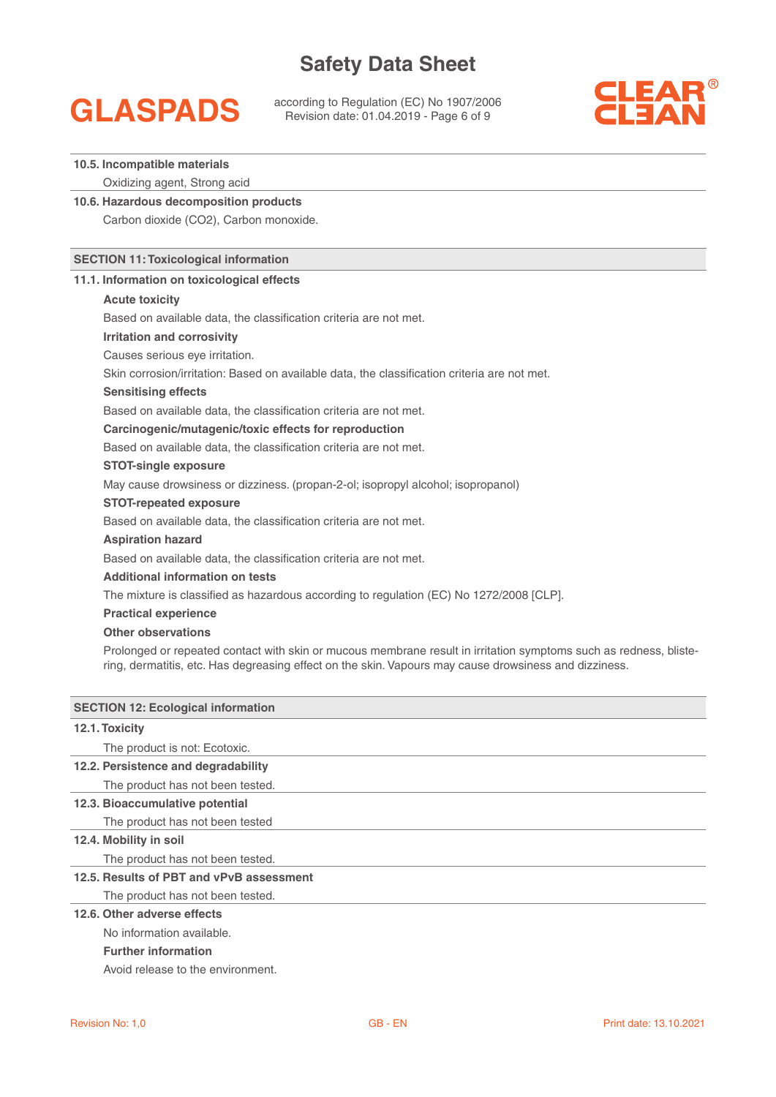## **GLASPADS**

according to Regulation (EC) No 1907/2006 Revision date: 01.04.2019 - Page 6 of 9



### **10.5. Incompatible materials**

Oxidizing agent, Strong acid

**10.6. Hazardous decomposition products**  Carbon dioxide (CO2), Carbon monoxide.

### **SECTION 11: Toxicological information**

### **11.1. Information on toxicological effects**

### **Acute toxicity**

Based on available data, the classification criteria are not met.

**Irritation and corrosivity**

Causes serious eye irritation.

Skin corrosion/irritation: Based on available data, the classification criteria are not met.

### **Sensitising effects**

Based on available data, the classification criteria are not met.

### **Carcinogenic/mutagenic/toxic effects for reproduction**

Based on available data, the classification criteria are not met.

### **STOT-single exposure**

May cause drowsiness or dizziness. (propan-2-ol; isopropyl alcohol; isopropanol)

### **STOT-repeated exposure**

Based on available data, the classification criteria are not met.

### **Aspiration hazard**

Based on available data, the classification criteria are not met.

### **Additional information on tests**

The mixture is classified as hazardous according to regulation (EC) No 1272/2008 [CLP].

### **Practical experience**

### **Other observations**

Prolonged or repeated contact with skin or mucous membrane result in irritation symptoms such as redness, blistering, dermatitis, etc. Has degreasing effect on the skin. Vapours may cause drowsiness and dizziness.

| <b>SECTION 12: Ecological information</b> |
|-------------------------------------------|
| 12.1. Toxicity                            |
| The product is not: Ecotoxic.             |
| 12.2. Persistence and degradability       |
| The product has not been tested.          |
| 12.3. Bioaccumulative potential           |
| The product has not been tested           |
| 12.4. Mobility in soil                    |
| The product has not been tested.          |
| 12.5. Results of PBT and vPvB assessment  |
| The product has not been tested.          |
| 12.6. Other adverse effects               |
| No information available.                 |

### **Further information**

Avoid release to the environment.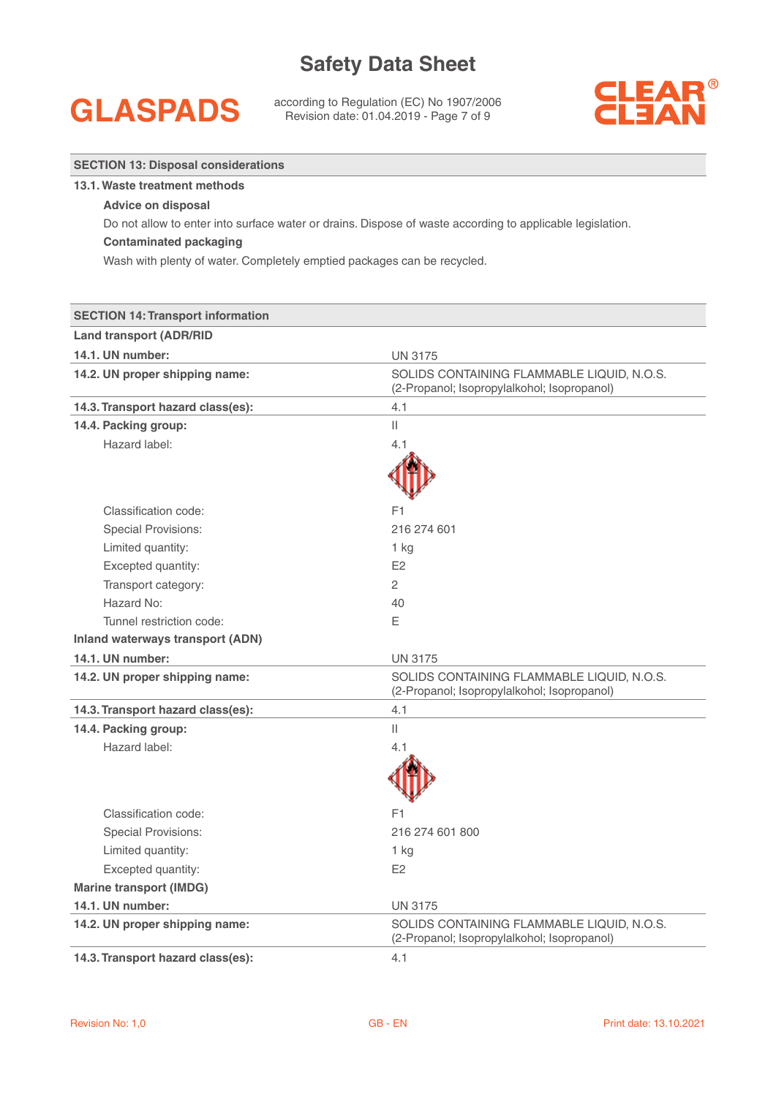## **GLASPADS**

**13.1. Waste treatment methods**

**SECTION 13: Disposal considerations**

according to Regulation (EC) No 1907/2006 Revision date: 01.04.2019 - Page 7 of 9



| <b>Advice on disposal</b>                                               |                                                                                                           |
|-------------------------------------------------------------------------|-----------------------------------------------------------------------------------------------------------|
|                                                                         | Do not allow to enter into surface water or drains. Dispose of waste according to applicable legislation. |
| <b>Contaminated packaging</b>                                           |                                                                                                           |
| Wash with plenty of water. Completely emptied packages can be recycled. |                                                                                                           |
|                                                                         |                                                                                                           |
| <b>SECTION 14: Transport information</b>                                |                                                                                                           |
| <b>Land transport (ADR/RID</b>                                          |                                                                                                           |
| 14.1. UN number:                                                        | <b>UN 3175</b>                                                                                            |
| 14.2. UN proper shipping name:                                          | SOLIDS CONTAINING FLAMMABLE LIQUID, N.O.S.<br>(2-Propanol; Isopropylalkohol; Isopropanol)                 |
| 14.3. Transport hazard class(es):                                       | 4.1                                                                                                       |
| 14.4. Packing group:                                                    | $\mathbf{H}$                                                                                              |
| Hazard label:                                                           | 4.1                                                                                                       |
|                                                                         |                                                                                                           |
|                                                                         |                                                                                                           |
| Classification code:                                                    | F1                                                                                                        |
| <b>Special Provisions:</b>                                              | 216 274 601                                                                                               |
| Limited quantity:                                                       | 1 kg                                                                                                      |
| Excepted quantity:                                                      | E <sub>2</sub>                                                                                            |
| Transport category:                                                     | $\overline{2}$                                                                                            |
| Hazard No:                                                              | 40                                                                                                        |
| Tunnel restriction code:                                                | Ε                                                                                                         |
| <b>Inland waterways transport (ADN)</b>                                 |                                                                                                           |
| 14.1. UN number:                                                        | <b>UN 3175</b>                                                                                            |
| 14.2. UN proper shipping name:                                          | SOLIDS CONTAINING FLAMMABLE LIQUID, N.O.S.<br>(2-Propanol; Isopropylalkohol; Isopropanol)                 |
| 14.3. Transport hazard class(es):                                       | 4.1                                                                                                       |
| 14.4. Packing group:                                                    | Ш                                                                                                         |
| Hazard label:                                                           | 4.1                                                                                                       |
|                                                                         |                                                                                                           |
|                                                                         |                                                                                                           |
| Classification code:                                                    | F1                                                                                                        |
| <b>Special Provisions:</b>                                              | 216 274 601 800                                                                                           |
| Limited quantity:                                                       | 1 kg                                                                                                      |
| Excepted quantity:                                                      | E <sub>2</sub>                                                                                            |
| <b>Marine transport (IMDG)</b>                                          |                                                                                                           |
| 14.1. UN number:                                                        | <b>UN 3175</b>                                                                                            |
| 14.2. UN proper shipping name:                                          | SOLIDS CONTAINING FLAMMABLE LIQUID, N.O.S.<br>(2-Propanol; Isopropylalkohol; Isopropanol)                 |
| 14.3. Transport hazard class(es):                                       | 4.1                                                                                                       |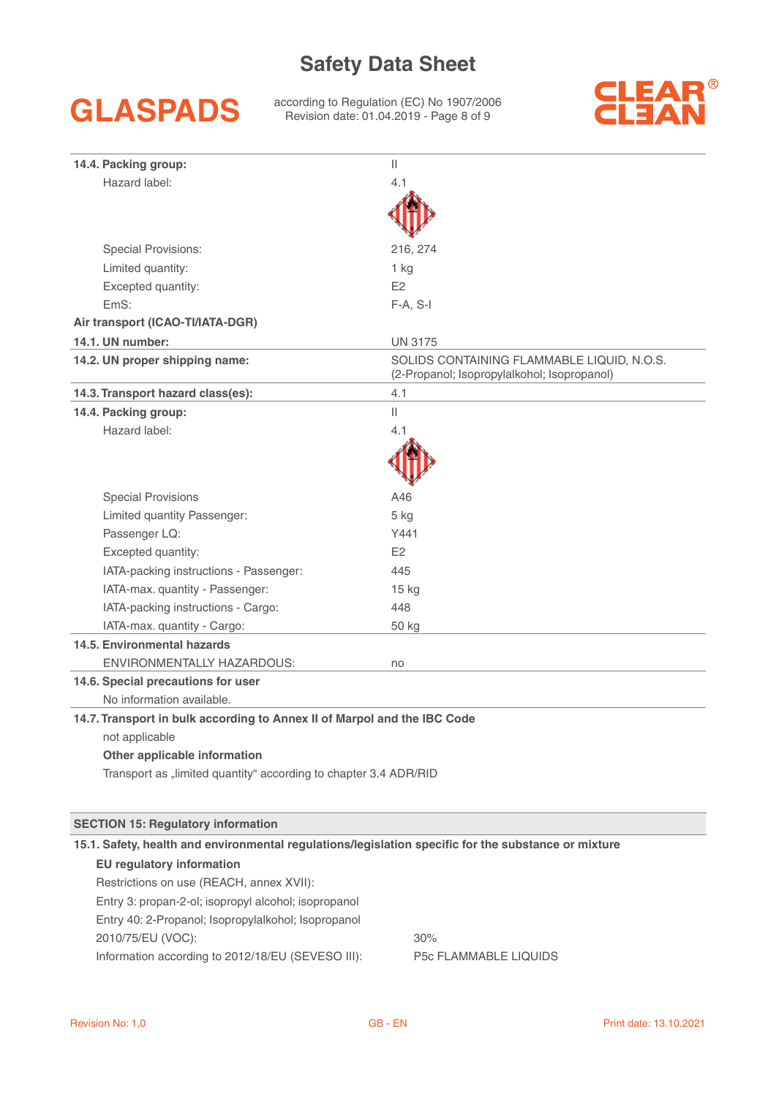## **GLASPADS**

according to Regulation (EC) No 1907/2006 Revision date: 01.04.2019 - Page 8 of 9



| 14.4. Packing group:                                                                                 | Ш                                                                                         |
|------------------------------------------------------------------------------------------------------|-------------------------------------------------------------------------------------------|
| Hazard label:                                                                                        | 4.1                                                                                       |
|                                                                                                      |                                                                                           |
|                                                                                                      |                                                                                           |
| <b>Special Provisions:</b>                                                                           | 216, 274                                                                                  |
| Limited quantity:                                                                                    | 1 kg                                                                                      |
| Excepted quantity:                                                                                   | E <sub>2</sub>                                                                            |
| EmS:                                                                                                 | $F-A, S-I$                                                                                |
| Air transport (ICAO-TI/IATA-DGR)                                                                     |                                                                                           |
| 14.1. UN number:                                                                                     | <b>UN 3175</b>                                                                            |
| 14.2. UN proper shipping name:                                                                       | SOLIDS CONTAINING FLAMMABLE LIQUID, N.O.S.<br>(2-Propanol; Isopropylalkohol; Isopropanol) |
| 14.3. Transport hazard class(es):                                                                    | 4.1                                                                                       |
| 14.4. Packing group:                                                                                 | $\mathbf{  }$                                                                             |
| Hazard label:                                                                                        | 4.1                                                                                       |
|                                                                                                      |                                                                                           |
| <b>Special Provisions</b>                                                                            | A46                                                                                       |
| Limited quantity Passenger:                                                                          | 5 kg                                                                                      |
| Passenger LQ:                                                                                        | Y441                                                                                      |
| Excepted quantity:                                                                                   | E2                                                                                        |
| IATA-packing instructions - Passenger:                                                               | 445                                                                                       |
| IATA-max. quantity - Passenger:                                                                      | 15 kg                                                                                     |
| IATA-packing instructions - Cargo:                                                                   | 448                                                                                       |
| IATA-max. quantity - Cargo:                                                                          | 50 kg                                                                                     |
| 14.5. Environmental hazards                                                                          |                                                                                           |
| ENVIRONMENTALLY HAZARDOUS:                                                                           | no                                                                                        |
| 14.6. Special precautions for user                                                                   |                                                                                           |
| No information available.                                                                            |                                                                                           |
| 14.7. Transport in bulk according to Annex II of Marpol and the IBC Code                             |                                                                                           |
| not applicable                                                                                       |                                                                                           |
| Other applicable information                                                                         |                                                                                           |
| Transport as "limited quantity" according to chapter 3.4 ADR/RID                                     |                                                                                           |
|                                                                                                      |                                                                                           |
| <b>SECTION 15: Regulatory information</b>                                                            |                                                                                           |
| 15.1. Safety, health and environmental regulations/legislation specific for the substance or mixture |                                                                                           |
| <b>EU</b> regulatory information                                                                     |                                                                                           |
| Restrictions on use (REACH, annex XVII):                                                             |                                                                                           |
| Entry 3: propan-2-ol; isopropyl alcohol; isopropanol                                                 |                                                                                           |
| Entry 40: 2-Propanol; Isopropylalkohol; Isopropanol                                                  |                                                                                           |
| 2010/75/EU (VOC):                                                                                    | 30%                                                                                       |

Information according to 2012/18/EU (SEVESO III): P5c FLAMMABLE LIQUIDS